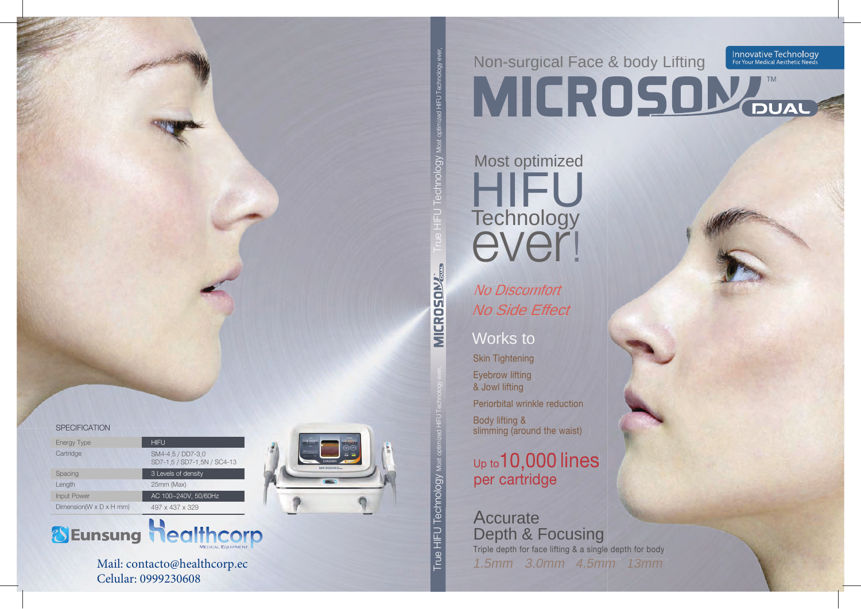Innovative Technology<br>For Your Medical Aesthetic Needs

Non-surgical Face & body Lifting **MICROSOMA** 

## Most optimized Technology ever!

**No Discomfort** No Side Effect

### Works to

HIFU Technology ever

V6olouuoe

**MICROSON** 

rue HIFU Technology w

**Skin Tightening** Eyebrow lifting & Jowl lifting Periorbital wrinkle reduction

Body lifting & slimming (around the waist)

## Up to 10,000 lines

### **Accurate Depth & Focusing**

Triple depth for face lifting & a single depth for body 1.5mm 3.0mm 4.5mm 13mm

#### **SPECIFICATION**

| <b>Energy Type</b>                   | <b>HIFU</b>                                      |
|--------------------------------------|--------------------------------------------------|
| Cartridge                            | SM4-4 5 / DD7-3 0<br>SD7-1.5 / SD7-1.5N / SC4-13 |
| Spacing                              | 3 Levels of density                              |
| Length                               | 25mm (Max)                                       |
| <b>Input Power</b>                   | AC 100~240V, 50/60Hz                             |
| Dimension( $W \times D \times H$ mm) | $497 \times 437 \times 329$                      |





Mail: contacto@healthcorp.ec Celular: 0999230608